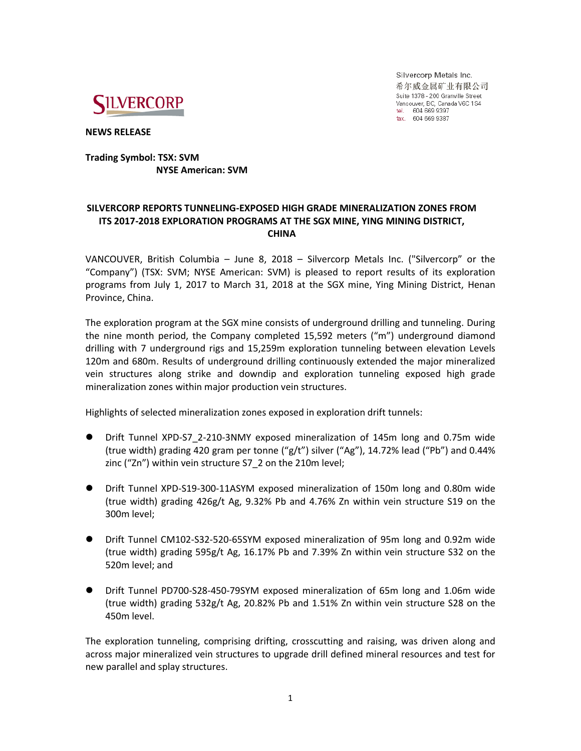

Silvercorp Metals Inc. 希尔威金属矿业有限公司 Suite 1378 - 200 Granville Street Vancouver, BC, Canada V6C 1S4 tel. 604 669 9397<br>fax. 604 669 9397

**NEWS RELEASE**

## **Trading Symbol: TSX: SVM NYSE American: SVM**

# **SILVERCORP REPORTS TUNNELING-EXPOSED HIGH GRADE MINERALIZATION ZONES FROM ITS 2017-2018 EXPLORATION PROGRAMS AT THE SGX MINE, YING MINING DISTRICT, CHINA**

VANCOUVER, British Columbia – June 8, 2018 – Silvercorp Metals Inc. ("Silvercorp" or the "Company") (TSX: SVM; NYSE American: SVM) is pleased to report results of its exploration programs from July 1, 2017 to March 31, 2018 at the SGX mine, Ying Mining District, Henan Province, China.

The exploration program at the SGX mine consists of underground drilling and tunneling. During the nine month period, the Company completed 15,592 meters ("m") underground diamond drilling with 7 underground rigs and 15,259m exploration tunneling between elevation Levels 120m and 680m. Results of underground drilling continuously extended the major mineralized vein structures along strike and downdip and exploration tunneling exposed high grade mineralization zones within major production vein structures.

Highlights of selected mineralization zones exposed in exploration drift tunnels:

- Drift Tunnel XPD-S7\_2-210-3NMY exposed mineralization of 145m long and 0.75m wide (true width) grading 420 gram per tonne (" $g/t$ ") silver ("Ag"), 14.72% lead ("Pb") and 0.44% zinc ("Zn") within vein structure S7\_2 on the 210m level;
- Drift Tunnel XPD-S19-300-11ASYM exposed mineralization of 150m long and 0.80m wide (true width) grading 426g/t Ag, 9.32% Pb and 4.76% Zn within vein structure S19 on the 300m level;
- Drift Tunnel CM102-S32-520-65SYM exposed mineralization of 95m long and 0.92m wide (true width) grading 595g/t Ag, 16.17% Pb and 7.39% Zn within vein structure S32 on the 520m level; and
- Drift Tunnel PD700-S28-450-79SYM exposed mineralization of 65m long and 1.06m wide (true width) grading 532g/t Ag, 20.82% Pb and 1.51% Zn within vein structure S28 on the 450m level.

The exploration tunneling, comprising drifting, crosscutting and raising, was driven along and across major mineralized vein structures to upgrade drill defined mineral resources and test for new parallel and splay structures.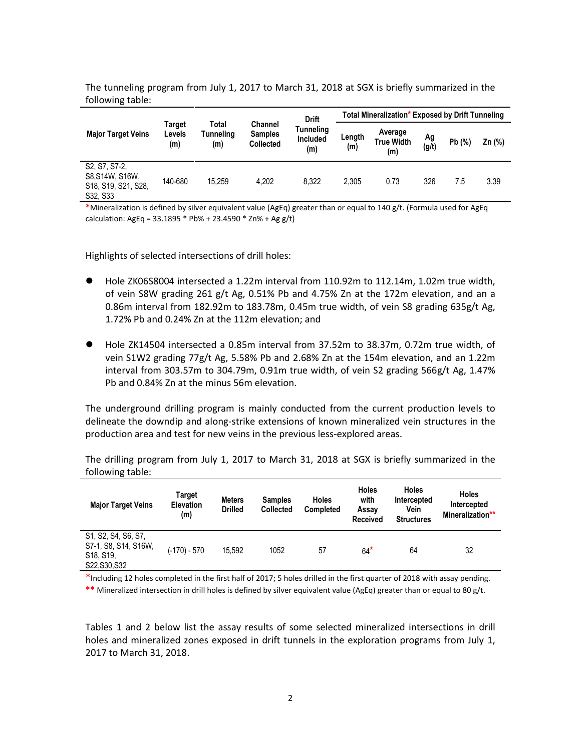| <b>Major Target Veins</b>                                                                                  | Target<br>Levels<br>(m) | Total<br>Tunneling<br>(m) | <b>Channel</b><br><b>Samples</b><br><b>Collected</b> | <b>Drift</b><br>Tunneling<br>Included<br>(m) | Total Mineralization* Exposed by Drift Tunneling |                                     |             |       |          |
|------------------------------------------------------------------------------------------------------------|-------------------------|---------------------------|------------------------------------------------------|----------------------------------------------|--------------------------------------------------|-------------------------------------|-------------|-------|----------|
|                                                                                                            |                         |                           |                                                      |                                              | Length<br>(m)                                    | Average<br><b>True Width</b><br>(m) | Ag<br>(g/t) | Pb(%) | $Zn$ (%) |
| S <sub>2</sub> , S <sub>7</sub> , S <sub>7</sub> -2,<br>S8, S14W, S16W,<br>S18, S19, S21, S28,<br>S32, S33 | 140-680                 | 15.259                    | 4.202                                                | 8.322                                        | 2.305                                            | 0.73                                | 326         | 7.5   | 3.39     |

The tunneling program from July 1, 2017 to March 31, 2018 at SGX is briefly summarized in the following table:

**\***Mineralization is defined by silver equivalent value (AgEq) greater than or equal to 140 g/t. (Formula used for AgEq calculation: AgEq =  $33.1895 * Pb$ % +  $23.4590 * Zn$ % + Ag g/t)

Highlights of selected intersections of drill holes:

- Hole ZK06S8004 intersected a 1.22m interval from 110.92m to 112.14m, 1.02m true width, of vein S8W grading 261 g/t Ag, 0.51% Pb and 4.75% Zn at the 172m elevation, and an a 0.86m interval from 182.92m to 183.78m, 0.45m true width, of vein S8 grading 635g/t Ag, 1.72% Pb and 0.24% Zn at the 112m elevation; and
- Hole ZK14504 intersected a 0.85m interval from 37.52m to 38.37m, 0.72m true width, of vein S1W2 grading 77g/t Ag, 5.58% Pb and 2.68% Zn at the 154m elevation, and an 1.22m interval from 303.57m to 304.79m, 0.91m true width, of vein S2 grading 566g/t Ag, 1.47% Pb and 0.84% Zn at the minus 56m elevation.

The underground drilling program is mainly conducted from the current production levels to delineate the downdip and along-strike extensions of known mineralized vein structures in the production area and test for new veins in the previous less-explored areas.

The drilling program from July 1, 2017 to March 31, 2018 at SGX is briefly summarized in the following table:

| <b>Major Target Veins</b>                                                 | Target<br><b>Elevation</b><br>(m) | <b>Meters</b><br><b>Drilled</b> | <b>Samples</b><br><b>Collected</b> | <b>Holes</b><br><b>Completed</b> | <b>Holes</b><br>with<br>Assay<br><b>Received</b> | <b>Holes</b><br>Intercepted<br>Vein<br><b>Structures</b> | <b>Holes</b><br>Intercepted<br>Mineralization** |
|---------------------------------------------------------------------------|-----------------------------------|---------------------------------|------------------------------------|----------------------------------|--------------------------------------------------|----------------------------------------------------------|-------------------------------------------------|
| S1, S2, S4, S6, S7,<br>S7-1, S8, S14, S16W,<br>S18, S19,<br>S22, S30, S32 | (-170) - 570                      | 15.592                          | 1052                               | 57                               | $64*$                                            | 64                                                       | 32                                              |

\*Including 12 holes completed in the first half of 2017; 5 holes drilled in the first quarter of 2018 with assay pending. **\*\*** Mineralized intersection in drill holes is defined by silver equivalent value (AgEq) greater than or equal to 80 g/t.

Tables 1 and 2 below list the assay results of some selected mineralized intersections in drill holes and mineralized zones exposed in drift tunnels in the exploration programs from July 1, 2017 to March 31, 2018.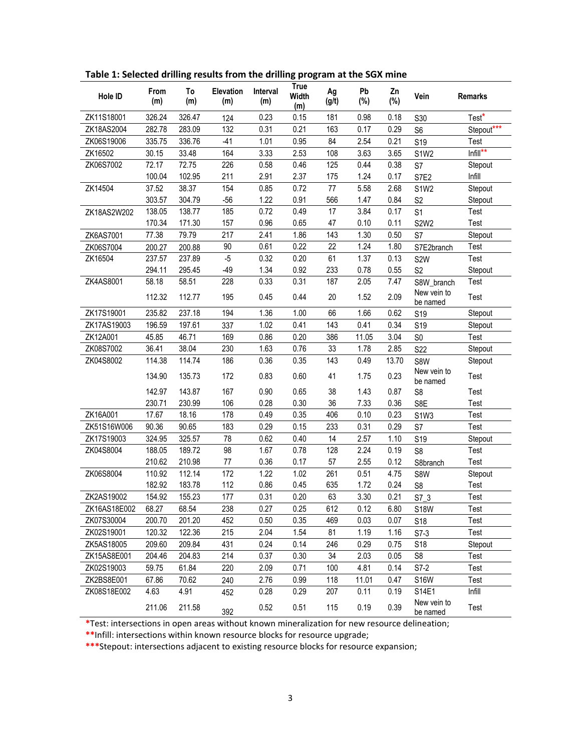| Hole ID      | From<br>(m) | To<br>(m) | Elevation<br>(m) | Interval<br>(m) | <b>True</b><br>Width<br>(m) | Ag<br>(g/t) | Pb<br>(%) | Zn<br>$(\%)$ | Vein                    | <b>Remarks</b> |
|--------------|-------------|-----------|------------------|-----------------|-----------------------------|-------------|-----------|--------------|-------------------------|----------------|
| ZK11S18001   | 326.24      | 326.47    | 124              | 0.23            | 0.15                        | 181         | 0.98      | 0.18         | S30                     | Test*          |
| ZK18AS2004   | 282.78      | 283.09    | 132              | 0.31            | 0.21                        | 163         | 0.17      | 0.29         | S <sub>6</sub>          | Stepout***     |
| ZK06S19006   | 335.75      | 336.76    | $-41$            | 1.01            | 0.95                        | 84          | 2.54      | 0.21         | S <sub>19</sub>         | Test           |
| ZK16502      | 30.15       | 33.48     | 164              | 3.33            | 2.53                        | 108         | 3.63      | 3.65         | <b>S1W2</b>             | $Infill**$     |
| ZK06S7002    | 72.17       | 72.75     | 226              | 0.58            | 0.46                        | 125         | 0.44      | 0.38         | S7                      | Stepout        |
|              | 100.04      | 102.95    | 211              | 2.91            | 2.37                        | 175         | 1.24      | 0.17         | S7E2                    | Infill         |
| ZK14504      | 37.52       | 38.37     | 154              | 0.85            | 0.72                        | 77          | 5.58      | 2.68         | <b>S1W2</b>             | Stepout        |
|              | 303.57      | 304.79    | $-56$            | 1.22            | 0.91                        | 566         | 1.47      | 0.84         | S <sub>2</sub>          | Stepout        |
| ZK18AS2W202  | 138.05      | 138.77    | 185              | 0.72            | 0.49                        | 17          | 3.84      | 0.17         | S <sub>1</sub>          | Test           |
|              | 170.34      | 171.30    | 157              | 0.96            | 0.65                        | 47          | 0.10      | 0.11         | <b>S2W2</b>             | Test           |
| ZK6AS7001    | 77.38       | 79.79     | 217              | 2.41            | 1.86                        | 143         | 1.30      | 0.50         | S7                      | Stepout        |
| ZK06S7004    | 200.27      | 200.88    | 90               | 0.61            | 0.22                        | 22          | 1.24      | 1.80         | S7E2branch              | Test           |
| ZK16504      | 237.57      | 237.89    | $-5$             | 0.32            | 0.20                        | 61          | 1.37      | 0.13         | S <sub>2</sub> W        | Test           |
|              | 294.11      | 295.45    | $-49$            | 1.34            | 0.92                        | 233         | 0.78      | 0.55         | S <sub>2</sub>          | Stepout        |
| ZK4AS8001    | 58.18       | 58.51     | 228              | 0.33            | 0.31                        | 187         | 2.05      | 7.47         | S8W_branch              | Test           |
|              | 112.32      | 112.77    | 195              | 0.45            | 0.44                        | 20          | 1.52      | 2.09         | New vein to<br>be named | Test           |
| ZK17S19001   | 235.82      | 237.18    | 194              | 1.36            | 1.00                        | 66          | 1.66      | 0.62         | S <sub>19</sub>         | Stepout        |
| ZK17AS19003  | 196.59      | 197.61    | 337              | 1.02            | 0.41                        | 143         | 0.41      | 0.34         | S <sub>19</sub>         | Stepout        |
| ZK12A001     | 45.85       | 46.71     | 169              | 0.86            | 0.20                        | 386         | 11.05     | 3.04         | S <sub>0</sub>          | Test           |
| ZK08S7002    | 36.41       | 38.04     | 230              | 1.63            | 0.76                        | 33          | 1.78      | 2.85         | S22                     | Stepout        |
| ZK04S8002    | 114.38      | 114.74    | 186              | 0.36            | 0.35                        | 143         | 0.49      | 13.70        | S8W                     | Stepout        |
|              | 134.90      | 135.73    | 172              | 0.83            | 0.60                        | 41          | 1.75      | 0.23         | New vein to<br>be named | Test           |
|              | 142.97      | 143.87    | 167              | 0.90            | 0.65                        | 38          | 1.43      | 0.87         | S <sub>8</sub>          | Test           |
|              | 230.71      | 230.99    | 106              | 0.28            | 0.30                        | 36          | 7.33      | 0.36         | S8E                     | Test           |
| ZK16A001     | 17.67       | 18.16     | 178              | 0.49            | 0.35                        | 406         | 0.10      | 0.23         | S1W3                    | Test           |
| ZK51S16W006  | 90.36       | 90.65     | 183              | 0.29            | 0.15                        | 233         | 0.31      | 0.29         | S7                      | Test           |
| ZK17S19003   | 324.95      | 325.57    | 78               | 0.62            | 0.40                        | 14          | 2.57      | 1.10         | S <sub>19</sub>         | Stepout        |
| ZK04S8004    | 188.05      | 189.72    | 98               | 1.67            | 0.78                        | 128         | 2.24      | 0.19         | S <sub>8</sub>          | Test           |
|              | 210.62      | 210.98    | 77               | 0.36            | 0.17                        | 57          | 2.55      | 0.12         | S8branch                | Test           |
| ZK06S8004    | 110.92      | 112.14    | 172              | 1.22            | 1.02                        | 261         | 0.51      | 4.75         | S8W                     | Stepout        |
|              | 182.92      | 183.78    | 112              | 0.86            | 0.45                        | 635         | 1.72      | 0.24         | S <sub>8</sub>          | Test           |
| ZK2AS19002   | 154.92      | 155.23    | 177              | 0.31            | 0.20                        | 63          | 3.30      | 0.21         | $S7_3$                  | Test           |
| ZK16AS18E002 | 68.27       | 68.54     | 238              | 0.27            | 0.25                        | 612         | 0.12      | 6.80         | S <sub>18</sub> W       | lest           |
| ZK07S30004   | 200.70      | 201.20    | 452              | 0.50            | 0.35                        | 469         | 0.03      | 0.07         | S18                     | Test           |
| ZK02S19001   | 120.32      | 122.36    | 215              | 2.04            | 1.54                        | 81          | 1.19      | 1.16         | $S7-3$                  | Test           |
| ZK5AS18005   | 209.60      | 209.84    | 431              | 0.24            | 0.14                        | 246         | 0.29      | 0.75         | S18                     | Stepout        |
| ZK15AS8E001  | 204.46      | 204.83    | 214              | 0.37            | 0.30                        | 34          | 2.03      | 0.05         | S <sub>8</sub>          | Test           |
| ZK02S19003   | 59.75       | 61.84     | 220              | 2.09            | 0.71                        | 100         | 4.81      | 0.14         | $S7-2$                  | Test           |
| ZK2BS8E001   | 67.86       | 70.62     | 240              | 2.76            | 0.99                        | 118         | 11.01     | 0.47         | <b>S16W</b>             | Test           |
| ZK08S18E002  | 4.63        | 4.91      | 452              | 0.28            | 0.29                        | 207         | 0.11      | 0.19         | S14E1                   | Infill         |
|              | 211.06      | 211.58    | 392              | 0.52            | 0.51                        | 115         | 0.19      | 0.39         | New vein to<br>be named | Test           |

**Table 1: Selected drilling results from the drilling program at the SGX mine**

**\***Test: intersections in open areas without known mineralization for new resource delineation;

**\*\***Infill: intersections within known resource blocks for resource upgrade;

**\*\*\***Stepout: intersections adjacent to existing resource blocks for resource expansion;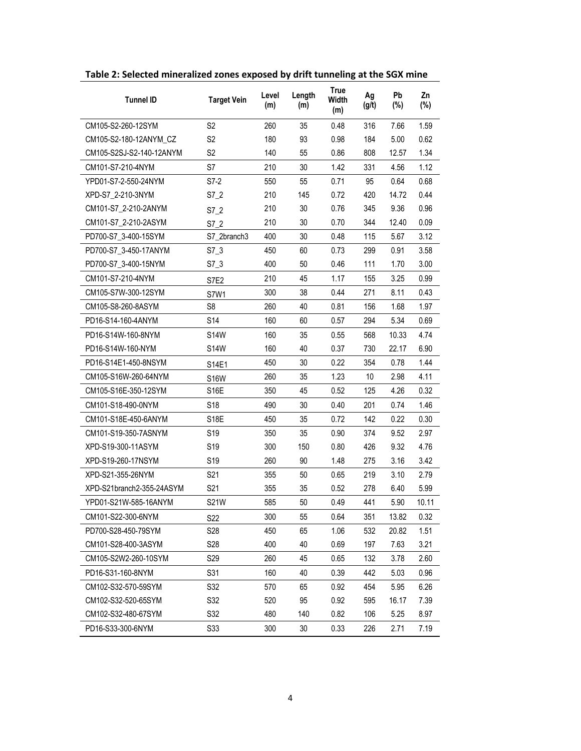| <b>Tunnel ID</b>          | <b>Target Vein</b> | Level<br>(m) | Length<br>(m) | <b>True</b><br><b>Width</b><br>(m) | Ag<br>(g/t) | Pb<br>(%) | Zn<br>(%) |
|---------------------------|--------------------|--------------|---------------|------------------------------------|-------------|-----------|-----------|
| CM105-S2-260-12SYM        | S <sub>2</sub>     | 260          | 35            | 0.48                               | 316         | 7.66      | 1.59      |
| CM105-S2-180-12ANYM_CZ    | S2                 | 180          | 93            | 0.98                               | 184         | 5.00      | 0.62      |
| CM105-S2SJ-S2-140-12ANYM  | S <sub>2</sub>     | 140          | 55            | 0.86                               | 808         | 12.57     | 1.34      |
| CM101-S7-210-4NYM         | S7                 | 210          | 30            | 1.42                               | 331         | 4.56      | 1.12      |
| YPD01-S7-2-550-24NYM      | S7-2               | 550          | 55            | 0.71                               | 95          | 0.64      | 0.68      |
| XPD-S7_2-210-3NYM         | $S7_2$             | 210          | 145           | 0.72                               | 420         | 14.72     | 0.44      |
| CM101-S7_2-210-2ANYM      | S7 2               | 210          | 30            | 0.76                               | 345         | 9.36      | 0.96      |
| CM101-S7_2-210-2ASYM      | S7 2               | 210          | 30            | 0.70                               | 344         | 12.40     | 0.09      |
| PD700-S7 3-400-15SYM      | S7 2branch3        | 400          | 30            | 0.48                               | 115         | 5.67      | 3.12      |
| PD700-S7 3-450-17ANYM     | $S7_3$             | 450          | 60            | 0.73                               | 299         | 0.91      | 3.58      |
| PD700-S7_3-400-15NYM      | $S7_3$             | 400          | 50            | 0.46                               | 111         | 1.70      | 3.00      |
| CM101-S7-210-4NYM         | S7E2               | 210          | 45            | 1.17                               | 155         | 3.25      | 0.99      |
| CM105-S7W-300-12SYM       | S7W1               | 300          | 38            | 0.44                               | 271         | 8.11      | 0.43      |
| CM105-S8-260-8ASYM        | S <sub>8</sub>     | 260          | 40            | 0.81                               | 156         | 1.68      | 1.97      |
| PD16-S14-160-4ANYM        | S14                | 160          | 60            | 0.57                               | 294         | 5.34      | 0.69      |
| PD16-S14W-160-8NYM        | <b>S14W</b>        | 160          | 35            | 0.55                               | 568         | 10.33     | 4.74      |
| PD16-S14W-160-NYM         | <b>S14W</b>        | 160          | 40            | 0.37                               | 730         | 22.17     | 6.90      |
| PD16-S14E1-450-8NSYM      | S14E1              | 450          | 30            | 0.22                               | 354         | 0.78      | 1.44      |
| CM105-S16W-260-64NYM      | <b>S16W</b>        | 260          | 35            | 1.23                               | 10          | 2.98      | 4.11      |
| CM105-S16E-350-12SYM      | <b>S16E</b>        | 350          | 45            | 0.52                               | 125         | 4.26      | 0.32      |
| CM101-S18-490-0NYM        | S <sub>18</sub>    | 490          | 30            | 0.40                               | 201         | 0.74      | 1.46      |
| CM101-S18E-450-6ANYM      | S18E               | 450          | 35            | 0.72                               | 142         | 0.22      | 0.30      |
| CM101-S19-350-7ASNYM      | S <sub>19</sub>    | 350          | 35            | 0.90                               | 374         | 9.52      | 2.97      |
| XPD-S19-300-11ASYM        | S <sub>19</sub>    | 300          | 150           | 0.80                               | 426         | 9.32      | 4.76      |
| XPD-S19-260-17NSYM        | S19                | 260          | 90            | 1.48                               | 275         | 3.16      | 3.42      |
| XPD-S21-355-26NYM         | S21                | 355          | 50            | 0.65                               | 219         | 3.10      | 2.79      |
| XPD-S21branch2-355-24ASYM | S21                | 355          | 35            | 0.52                               | 278         | 6.40      | 5.99      |
| YPD01-S21W-585-16ANYM     | <b>S21W</b>        | 585          | 50            | 0.49                               | 441         | 5.90      | 10.11     |
| CM101-S22-300-6NYM        | S22                | 300          | 55            | 0.64                               | 351         | 13.82     | 0.32      |
| PD700-S28-450-79SYM       | S <sub>28</sub>    | 450          | 65            | 1.06                               | 532         | 20.82     | 1.51      |
| CM101-S28-400-3ASYM       | S28                | 400          | 40            | 0.69                               | 197         | 7.63      | 3.21      |
| CM105-S2W2-260-10SYM      | S <sub>29</sub>    | 260          | 45            | 0.65                               | 132         | 3.78      | 2.60      |
| PD16-S31-160-8NYM         | S31                | 160          | 40            | 0.39                               | 442         | 5.03      | 0.96      |
| CM102-S32-570-59SYM       | S32                | 570          | 65            | 0.92                               | 454         | 5.95      | 6.26      |
| CM102-S32-520-65SYM       | S32                | 520          | 95            | 0.92                               | 595         | 16.17     | 7.39      |
| CM102-S32-480-67SYM       | S32                | 480          | 140           | 0.82                               | 106         | 5.25      | 8.97      |
| PD16-S33-300-6NYM         | S33                | 300          | 30            | 0.33                               | 226         | 2.71      | 7.19      |

**Table 2: Selected mineralized zones exposed by drift tunneling at the SGX mine**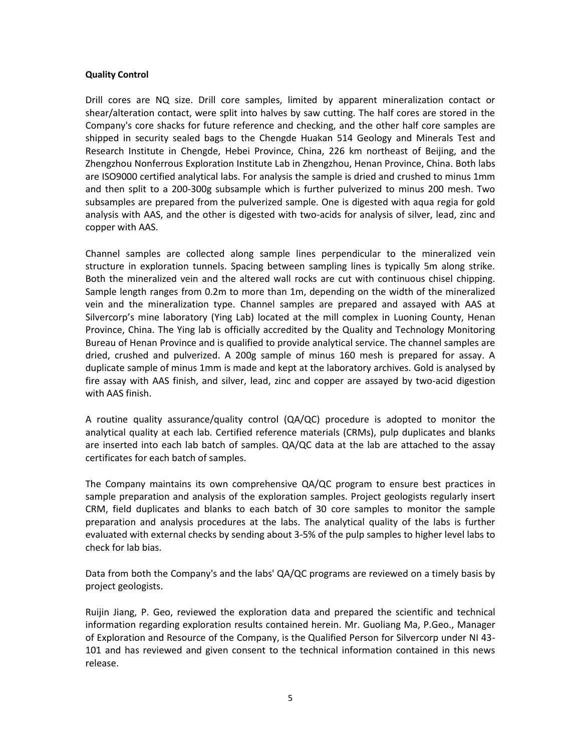## **Quality Control**

Drill cores are NQ size. Drill core samples, limited by apparent mineralization contact or shear/alteration contact, were split into halves by saw cutting. The half cores are stored in the Company's core shacks for future reference and checking, and the other half core samples are shipped in security sealed bags to the Chengde Huakan 514 Geology and Minerals Test and Research Institute in Chengde, Hebei Province, China, 226 km northeast of Beijing, and the Zhengzhou Nonferrous Exploration Institute Lab in Zhengzhou, Henan Province, China. Both labs are ISO9000 certified analytical labs. For analysis the sample is dried and crushed to minus 1mm and then split to a 200-300g subsample which is further pulverized to minus 200 mesh. Two subsamples are prepared from the pulverized sample. One is digested with aqua regia for gold analysis with AAS, and the other is digested with two-acids for analysis of silver, lead, zinc and copper with AAS.

Channel samples are collected along sample lines perpendicular to the mineralized vein structure in exploration tunnels. Spacing between sampling lines is typically 5m along strike. Both the mineralized vein and the altered wall rocks are cut with continuous chisel chipping. Sample length ranges from 0.2m to more than 1m, depending on the width of the mineralized vein and the mineralization type. Channel samples are prepared and assayed with AAS at Silvercorp's mine laboratory (Ying Lab) located at the mill complex in Luoning County, Henan Province, China. The Ying lab is officially accredited by the Quality and Technology Monitoring Bureau of Henan Province and is qualified to provide analytical service. The channel samples are dried, crushed and pulverized. A 200g sample of minus 160 mesh is prepared for assay. A duplicate sample of minus 1mm is made and kept at the laboratory archives. Gold is analysed by fire assay with AAS finish, and silver, lead, zinc and copper are assayed by two-acid digestion with AAS finish.

A routine quality assurance/quality control (QA/QC) procedure is adopted to monitor the analytical quality at each lab. Certified reference materials (CRMs), pulp duplicates and blanks are inserted into each lab batch of samples. QA/QC data at the lab are attached to the assay certificates for each batch of samples.

The Company maintains its own comprehensive QA/QC program to ensure best practices in sample preparation and analysis of the exploration samples. Project geologists regularly insert CRM, field duplicates and blanks to each batch of 30 core samples to monitor the sample preparation and analysis procedures at the labs. The analytical quality of the labs is further evaluated with external checks by sending about 3-5% of the pulp samples to higher level labs to check for lab bias.

Data from both the Company's and the labs' QA/QC programs are reviewed on a timely basis by project geologists.

Ruijin Jiang, P. Geo, reviewed the exploration data and prepared the scientific and technical information regarding exploration results contained herein. Mr. Guoliang Ma, P.Geo., Manager of Exploration and Resource of the Company, is the Qualified Person for Silvercorp under NI 43- 101 and has reviewed and given consent to the technical information contained in this news release.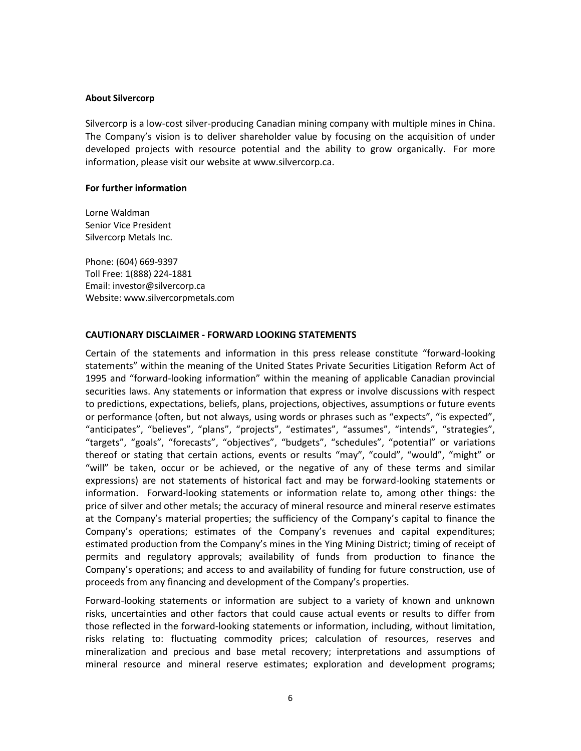#### **About Silvercorp**

Silvercorp is a low-cost silver-producing Canadian mining company with multiple mines in China. The Company's vision is to deliver shareholder value by focusing on the acquisition of under developed projects with resource potential and the ability to grow organically. For more information, please visit our website at www.silvercorp.ca.

## **For further information**

Lorne Waldman Senior Vice President Silvercorp Metals Inc.

Phone: (604) 669-9397 Toll Free: 1(888) 224-1881 Email: investor@silvercorp.ca Website: www.silvercorpmetals.com

## **CAUTIONARY DISCLAIMER - FORWARD LOOKING STATEMENTS**

Certain of the statements and information in this press release constitute "forward-looking statements" within the meaning of the United States Private Securities Litigation Reform Act of 1995 and "forward-looking information" within the meaning of applicable Canadian provincial securities laws. Any statements or information that express or involve discussions with respect to predictions, expectations, beliefs, plans, projections, objectives, assumptions or future events or performance (often, but not always, using words or phrases such as "expects", "is expected", "anticipates", "believes", "plans", "projects", "estimates", "assumes", "intends", "strategies", "targets", "goals", "forecasts", "objectives", "budgets", "schedules", "potential" or variations thereof or stating that certain actions, events or results "may", "could", "would", "might" or "will" be taken, occur or be achieved, or the negative of any of these terms and similar expressions) are not statements of historical fact and may be forward-looking statements or information. Forward-looking statements or information relate to, among other things: the price of silver and other metals; the accuracy of mineral resource and mineral reserve estimates at the Company's material properties; the sufficiency of the Company's capital to finance the Company's operations; estimates of the Company's revenues and capital expenditures; estimated production from the Company's mines in the Ying Mining District; timing of receipt of permits and regulatory approvals; availability of funds from production to finance the Company's operations; and access to and availability of funding for future construction, use of proceeds from any financing and development of the Company's properties.

Forward-looking statements or information are subject to a variety of known and unknown risks, uncertainties and other factors that could cause actual events or results to differ from those reflected in the forward-looking statements or information, including, without limitation, risks relating to: fluctuating commodity prices; calculation of resources, reserves and mineralization and precious and base metal recovery; interpretations and assumptions of mineral resource and mineral reserve estimates; exploration and development programs;